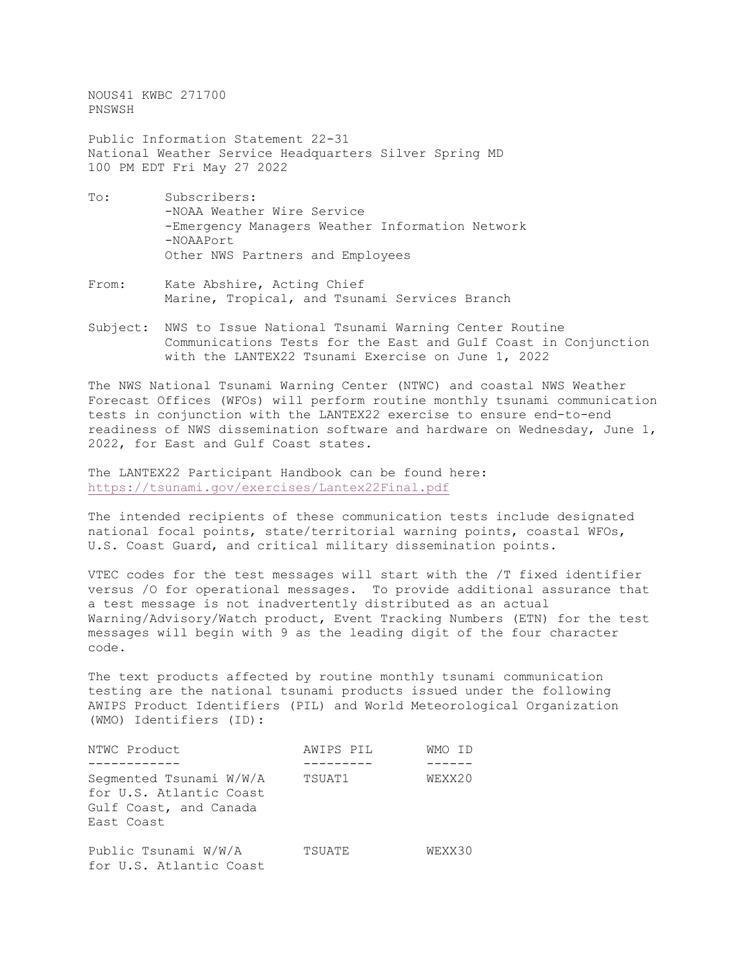NOUS41 KWBC 271700 PNSWSH

Public Information Statement 22-31 National Weather Service Headquarters Silver Spring MD 100 PM EDT Fri May 27 2022

- To: Subscribers: -NOAA Weather Wire Service -Emergency Managers Weather Information Network -NOAAPort Other NWS Partners and Employees
- From: Kate Abshire, Acting Chief Marine, Tropical, and Tsunami Services Branch
- Subject: NWS to Issue National Tsunami Warning Center Routine Communications Tests for the East and Gulf Coast in Conjunction with the LANTEX22 Tsunami Exercise on June 1, 2022

The NWS National Tsunami Warning Center (NTWC) and coastal NWS Weather Forecast Offices (WFOs) will perform routine monthly tsunami communication tests in conjunction with the LANTEX22 exercise to ensure end-to-end readiness of NWS dissemination software and hardware on Wednesday, June 1, 2022, for East and Gulf Coast states.

The LANTEX22 Participant Handbook can be found here: <https://tsunami.gov/exercises/Lantex22Final.pdf>

The intended recipients of these communication tests include designated national focal points, state/territorial warning points, coastal WFOs, U.S. Coast Guard, and critical military dissemination points.

VTEC codes for the test messages will start with the /T fixed identifier versus /O for operational messages. To provide additional assurance that a test message is not inadvertently distributed as an actual Warning/Advisory/Watch product, Event Tracking Numbers (ETN) for the test messages will begin with 9 as the leading digit of the four character code.

The text products affected by routine monthly tsunami communication testing are the national tsunami products issued under the following AWIPS Product Identifiers (PIL) and World Meteorological Organization (WMO) Identifiers (ID):

| NTWC Product                                                                               | AWIPS PIL | WMO TD |
|--------------------------------------------------------------------------------------------|-----------|--------|
|                                                                                            |           |        |
| Segmented Tsunami W/W/A<br>for U.S. Atlantic Coast<br>Gulf Coast, and Canada<br>East Coast | TSUAT1    | WEXX20 |
| Public Tsunami W/W/A<br>for U.S. Atlantic Coast                                            | TSUATE    | WEXX30 |